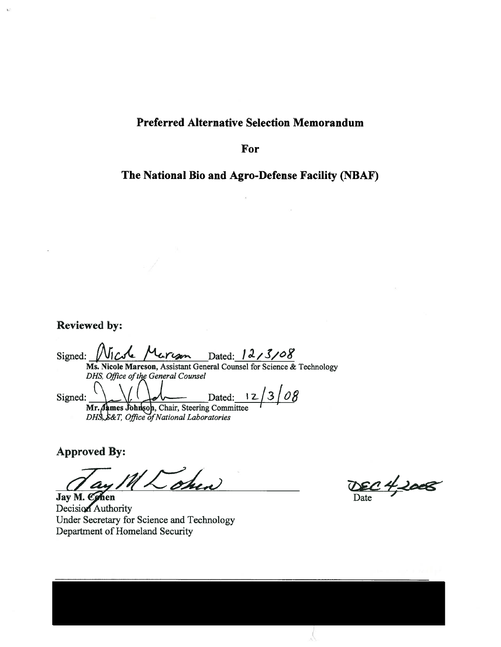#### **Preferred Alternative Selection Memorandum**

For

The National Bio and Agro-Defense Facility (NBAF)

#### **Reviewed by:**

Signed: McA Mercan Dated: 12/3/08<br>Ms. Nicole Marcson, Assistant General Counsel for Science & Technology DHS, Office of the General Counsel

Dated:  $12/3/08$ Signed: Mr. James Johnson, Chair, Steering Committee<br>DHS S&T, Office of National Laboratories

**Approved By:** 

Whit ohen

Jay M. Cohen Decision Authority Under Secretary for Science and Technology Department of Homeland Security

 $24208$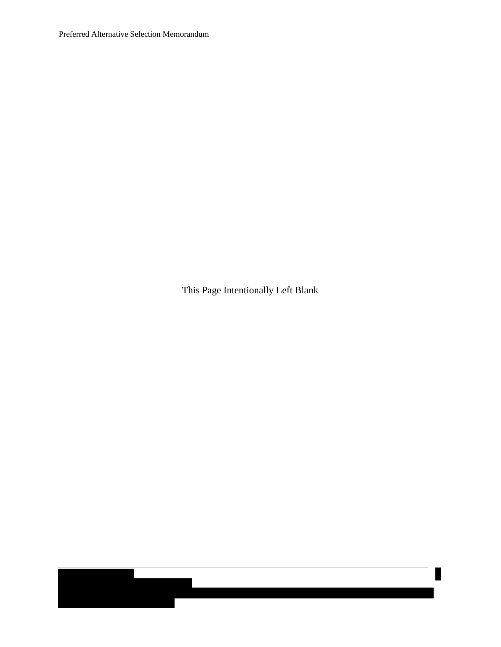Preferred Alternative Selection Memorandum

ا ميلاد با

This Page Intentionally Left Blank

I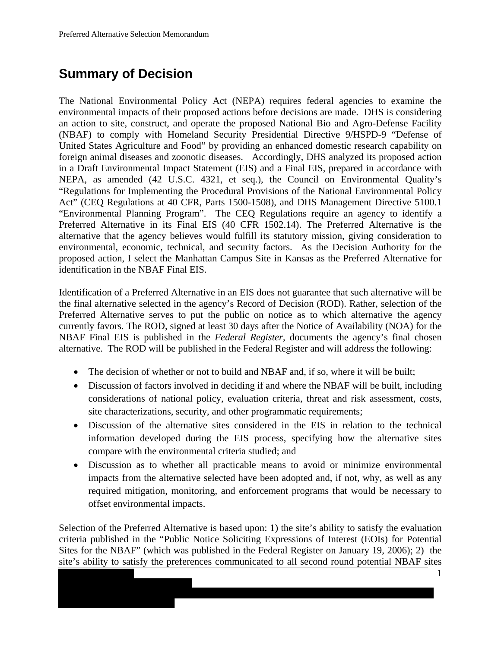# **Summary of Decision**

The National Environmental Policy Act (NEPA) requires federal agencies to examine the environmental impacts of their proposed actions before decisions are made. DHS is considering an action to site, construct, and operate the proposed National Bio and Agro-Defense Facility (NBAF) to comply with Homeland Security Presidential Directive 9/HSPD-9 "Defense of United States Agriculture and Food" by providing an enhanced domestic research capability on foreign animal diseases and zoonotic diseases. Accordingly, DHS analyzed its proposed action in a Draft Environmental Impact Statement (EIS) and a Final EIS, prepared in accordance with NEPA, as amended (42 U.S.C. 4321, et seq.), the Council on Environmental Quality's "Regulations for Implementing the Procedural Provisions of the National Environmental Policy Act" (CEQ Regulations at 40 CFR, Parts 1500-1508), and DHS Management Directive 5100.1 "Environmental Planning Program". The CEQ Regulations require an agency to identify a Preferred Alternative in its Final EIS (40 CFR 1502.14). The Preferred Alternative is the alternative that the agency believes would fulfill its statutory mission, giving consideration to environmental, economic, technical, and security factors. As the Decision Authority for the proposed action, I select the Manhattan Campus Site in Kansas as the Preferred Alternative for identification in the NBAF Final EIS.

Identification of a Preferred Alternative in an EIS does not guarantee that such alternative will be the final alternative selected in the agency's Record of Decision (ROD). Rather, selection of the Preferred Alternative serves to put the public on notice as to which alternative the agency currently favors. The ROD, signed at least 30 days after the Notice of Availability (NOA) for the NBAF Final EIS is published in the *Federal Register*, documents the agency's final chosen alternative. The ROD will be published in the Federal Register and will address the following:

- The decision of whether or not to build and NBAF and, if so, where it will be built;
- Discussion of factors involved in deciding if and where the NBAF will be built, including considerations of national policy, evaluation criteria, threat and risk assessment, costs, site characterizations, security, and other programmatic requirements;
- • Discussion of the alternative sites considered in the EIS in relation to the technical information developed during the EIS process, specifying how the alternative sites compare with the environmental criteria studied; and
- Discussion as to whether all practicable means to avoid or minimize environmental impacts from the alternative selected have been adopted and, if not, why, as well as any required mitigation, monitoring, and enforcement programs that would be necessary to offset environmental impacts.

Selection of the Preferred Alternative is based upon: 1) the site's ability to satisfy the evaluation criteria published in the "Public Notice Soliciting Expressions of Interest (EOIs) for Potential Sites for the NBAF" (which was published in the Federal Register on January 19, 2006); 2) the site's ability to satisfy the preferences communicated to all second round potential NBAF sites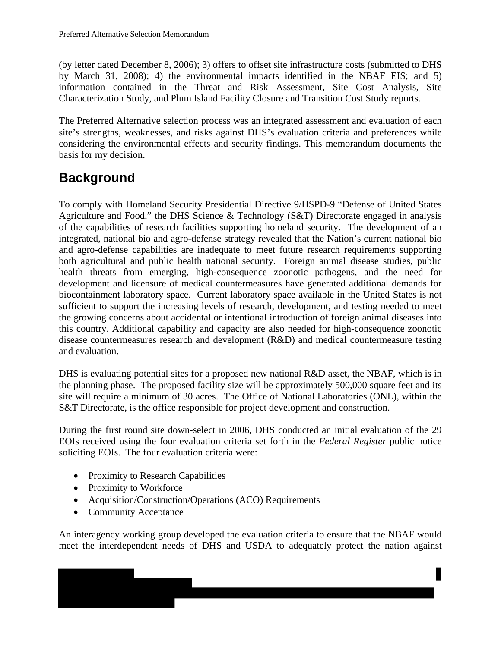(by letter dated December 8, 2006); 3) offers to offset site infrastructure costs (submitted to DHS by March 31, 2008); 4) the environmental impacts identified in the NBAF EIS; and 5) information contained in the Threat and Risk Assessment, Site Cost Analysis, Site Characterization Study, and Plum Island Facility Closure and Transition Cost Study reports.

The Preferred Alternative selection process was an integrated assessment and evaluation of each site's strengths, weaknesses, and risks against DHS's evaluation criteria and preferences while considering the environmental effects and security findings. This memorandum documents the basis for my decision.

# **Background**

To comply with Homeland Security Presidential Directive 9/HSPD-9 "Defense of United States Agriculture and Food," the DHS Science & Technology (S&T) Directorate engaged in analysis of the capabilities of research facilities supporting homeland security. The development of an integrated, national bio and agro-defense strategy revealed that the Nation's current national bio and agro-defense capabilities are inadequate to meet future research requirements supporting both agricultural and public health national security. Foreign animal disease studies, public health threats from emerging, high-consequence zoonotic pathogens, and the need for development and licensure of medical countermeasures have generated additional demands for biocontainment laboratory space. Current laboratory space available in the United States is not sufficient to support the increasing levels of research, development, and testing needed to meet the growing concerns about accidental or intentional introduction of foreign animal diseases into this country. Additional capability and capacity are also needed for high-consequence zoonotic disease countermeasures research and development (R&D) and medical countermeasure testing and evaluation.

DHS is evaluating potential sites for a proposed new national R&D asset, the NBAF, which is in the planning phase. The proposed facility size will be approximately 500,000 square feet and its site will require a minimum of 30 acres. The Office of National Laboratories (ONL), within the S&T Directorate, is the office responsible for project development and construction.

During the first round site down-select in 2006, DHS conducted an initial evaluation of the 29 EOIs received using the four evaluation criteria set forth in the *Federal Register* public notice soliciting EOIs. The four evaluation criteria were:

- Proximity to Research Capabilities
- Proximity to Workforce
- Acquisition/Construction/Operations (ACO) Requirements
- Community Acceptance

An interagency working group developed the evaluation criteria to ensure that the NBAF would meet the interdependent needs of DHS and USDA to adequately protect the nation against

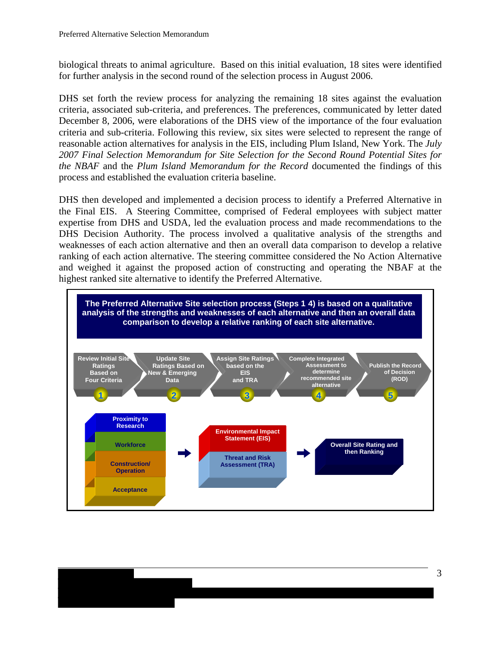biological threats to animal agriculture. Based on this initial evaluation, 18 sites were identified for further analysis in the second round of the selection process in August 2006.

DHS set forth the review process for analyzing the remaining 18 sites against the evaluation criteria, associated sub-criteria, and preferences. The preferences, communicated by letter dated December 8, 2006, were elaborations of the DHS view of the importance of the four evaluation criteria and sub-criteria. Following this review, six sites were selected to represent the range of reasonable action alternatives for analysis in the EIS, including Plum Island, New York. The *July 2007 Final Selection Memorandum for Site Selection for the Second Round Potential Sites for the NBAF* and the *Plum Island Memorandum for the Record* documented the findings of this process and established the evaluation criteria baseline.

DHS then developed and implemented a decision process to identify a Preferred Alternative in the Final EIS. A Steering Committee, comprised of Federal employees with subject matter expertise from DHS and USDA, led the evaluation process and made recommendations to the DHS Decision Authority. The process involved a qualitative analysis of the strengths and weaknesses of each action alternative and then an overall data comparison to develop a relative ranking of each action alternative. The steering committee considered the No Action Alternative and weighed it against the proposed action of constructing and operating the NBAF at the highest ranked site alternative to identify the Preferred Alternative.



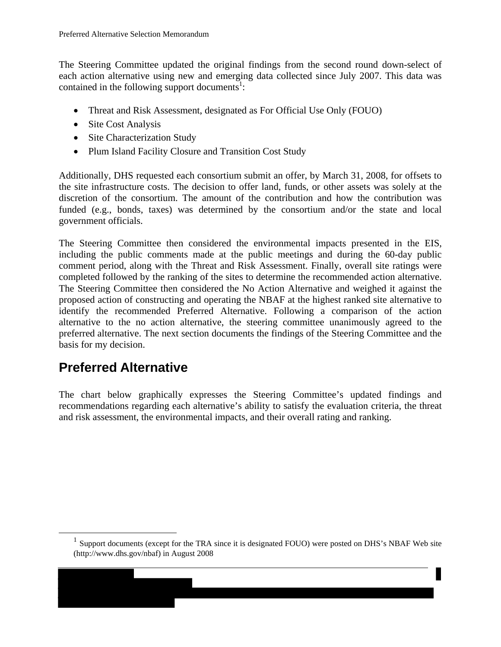The Steering Committee updated the original findings from the second round down-select of each action alternative using new and emerging data collected since July 2007. This data was contained in the following support documents<sup>1</sup>:

- Threat and Risk Assessment, designated as For Official Use Only (FOUO)
- Site Cost Analysis
- Site Characterization Study
- Plum Island Facility Closure and Transition Cost Study

Additionally, DHS requested each consortium submit an offer, by March 31, 2008, for offsets to the site infrastructure costs. The decision to offer land, funds, or other assets was solely at the discretion of the consortium. The amount of the contribution and how the contribution was funded (e.g., bonds, taxes) was determined by the consortium and/or the state and local government officials.

The Steering Committee then considered the environmental impacts presented in the EIS, including the public comments made at the public meetings and during the 60-day public comment period, along with the Threat and Risk Assessment. Finally, overall site ratings were completed followed by the ranking of the sites to determine the recommended action alternative. The Steering Committee then considered the No Action Alternative and weighed it against the proposed action of constructing and operating the NBAF at the highest ranked site alternative to identify the recommended Preferred Alternative. Following a comparison of the action alternative to the no action alternative, the steering committee unanimously agreed to the preferred alternative. The next section documents the findings of the Steering Committee and the basis for my decision.

# **Preferred Alternative**

The chart below graphically expresses the Steering Committee's updated findings and recommendations regarding each alternative's ability to satisfy the evaluation criteria, the threat and risk assessment, the environmental impacts, and their overall rating and ranking.

<sup>&</sup>lt;sup>1</sup> Support documents (except for the TRA since it is designated FOUO) were posted on DHS's NBAF Web site (http://www.dhs.gov/nbaf) in August 2008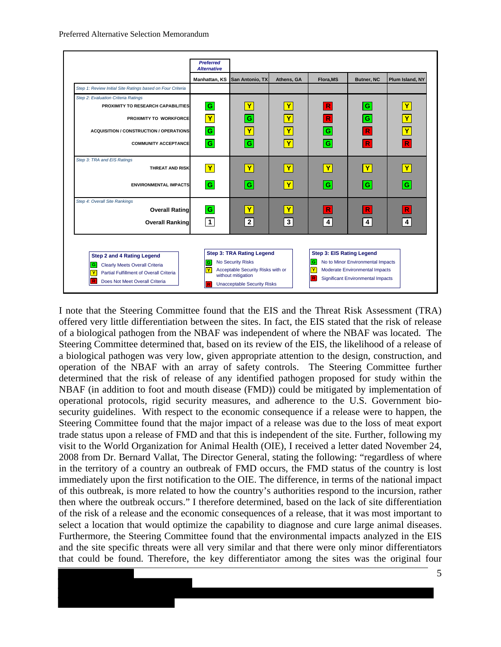|                                                                                                                                                                                             | <b>Preferred</b><br><b>Alternative</b>                                                                                                                           |                                                                |                                                     |                                                                                                                                                                      |                                                                      |                                                               |
|---------------------------------------------------------------------------------------------------------------------------------------------------------------------------------------------|------------------------------------------------------------------------------------------------------------------------------------------------------------------|----------------------------------------------------------------|-----------------------------------------------------|----------------------------------------------------------------------------------------------------------------------------------------------------------------------|----------------------------------------------------------------------|---------------------------------------------------------------|
|                                                                                                                                                                                             |                                                                                                                                                                  | Manhattan, KS San Antonio, TX                                  | Athens, GA                                          | Flora, MS                                                                                                                                                            | Butner, NC                                                           | Plum Island, NY                                               |
| Step 1: Review Initial Site Ratings based on Four Criteria                                                                                                                                  |                                                                                                                                                                  |                                                                |                                                     |                                                                                                                                                                      |                                                                      |                                                               |
| Step 2: Evaluation Criteria Ratings<br>PROXIMITY TO RESEARCH CAPABILITIES<br><b>PROXIMITY TO WORKFORCE</b><br><b>ACQUISITION / CONSTRUCTION / OPERATIONS</b><br><b>COMMUNITY ACCEPTANCE</b> | $\overline{G}$<br>$\mathbf{Y}$<br>$\overline{G}$<br>$\overline{G}$                                                                                               | Y <br>$\overline{G}$<br>$\mathbf Y$<br>$\overline{\mathsf{G}}$ | Y <br>$\overline{\mathbf{Y}}$<br>$\mathbf{Y}$<br> Y | $\mathbb{R}$<br>$\mathbb{R}$<br>$\mathbf G$<br>$\overline{\mathsf{G}}$                                                                                               | $\boxed{G}$<br>$\boxed{G}$<br>$\mathbf R$<br>$\overline{\mathbf{R}}$ | Y <br>$\mathbf{Y}$<br>$\mathbf{Y}$<br>$\overline{\mathbf{R}}$ |
| Step 3: TRA and EIS Ratings<br>THREAT AND RISK<br><b>ENVIRONMENTAL IMPACTS</b>                                                                                                              | Y <br>$\overline{G}$                                                                                                                                             | Y <br> G                                                       | $ {\bf Y} $<br>$\mathbf{Y}$                         | Y <br> G                                                                                                                                                             | $\mathbf{Y}$<br>$\mathbf{G}$                                         | Y <br> G                                                      |
| Step 4: Overall Site Rankings<br><b>Overall Rating</b><br><b>Overall Ranking</b>                                                                                                            | G<br>1                                                                                                                                                           | $\mathbf{Y}$<br>$\overline{2}$                                 | Y<br>3                                              | R.<br>$\overline{\mathbf{4}}$                                                                                                                                        | $\mathbb{R}$<br>$\overline{\mathbf{4}}$                              | R<br>$\vert$ 4                                                |
| Step 2 and 4 Rating Legend<br><b>Clearly Meets Overall Criteria</b><br>G<br>Partial Fulfillment of Overall Criteria<br><b>Y</b><br>Does Not Meet Overall Criteria                           | <b>Step 3: TRA Rating Legend</b><br>No Security Risks<br>G<br>Acceptable Security Risks with or<br>Y<br>without mitigation<br><b>Unacceptable Security Risks</b> |                                                                |                                                     | <b>Step 3: EIS Rating Legend</b><br>No to Minor Environmental Impacts<br>۱G۱<br>Y<br>Moderate Environmental Impacts<br><b>Significant Environmental Impacts</b><br>R |                                                                      |                                                               |

I note that the Steering Committee found that the EIS and the Threat Risk Assessment (TRA) offered very little differentiation between the sites. In fact, the EIS stated that the risk of release of a biological pathogen from the NBAF was independent of where the NBAF was located. The Steering Committee determined that, based on its review of the EIS, the likelihood of a release of a biological pathogen was very low, given appropriate attention to the design, construction, and operation of the NBAF with an array of safety controls. The Steering Committee further determined that the risk of release of any identified pathogen proposed for study within the NBAF (in addition to foot and mouth disease (FMD)) could be mitigated by implementation of operational protocols, rigid security measures, and adherence to the U.S. Government biosecurity guidelines. With respect to the economic consequence if a release were to happen, the Steering Committee found that the major impact of a release was due to the loss of meat export trade status upon a release of FMD and that this is independent of the site. Further, following my visit to the World Organization for Animal Health (OIE), I received a letter dated November 24, 2008 from Dr. Bernard Vallat, The Director General, stating the following: "regardless of where in the territory of a country an outbreak of FMD occurs, the FMD status of the country is lost immediately upon the first notification to the OIE. The difference, in terms of the national impact of this outbreak, is more related to how the country's authorities respond to the incursion, rather then where the outbreak occurs." I therefore determined, based on the lack of site differentiation of the risk of a release and the economic consequences of a release, that it was most important to select a location that would optimize the capability to diagnose and cure large animal diseases. Furthermore, the Steering Committee found that the environmental impacts analyzed in the EIS and the site specific threats were all very similar and that there were only minor differentiators that could be found. Therefore, the key differentiator among the sites was the original four

5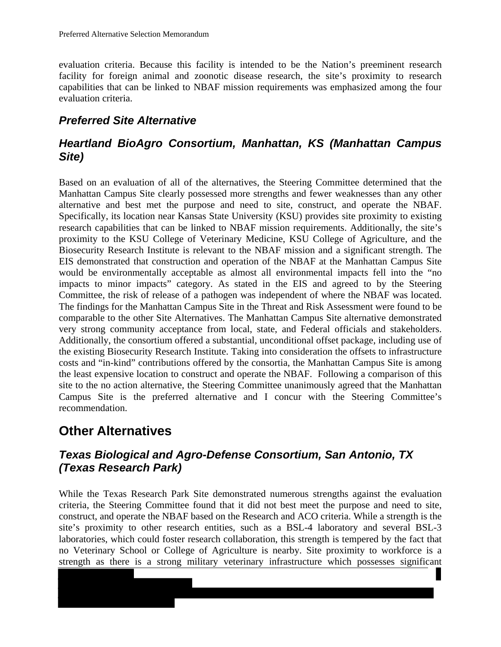evaluation criteria. Because this facility is intended to be the Nation's preeminent research facility for foreign animal and zoonotic disease research, the site's proximity to research capabilities that can be linked to NBAF mission requirements was emphasized among the four evaluation criteria.

### *Preferred Site Alternative*

### *Heartland BioAgro Consortium, Manhattan, KS (Manhattan Campus Site)*

Based on an evaluation of all of the alternatives, the Steering Committee determined that the Manhattan Campus Site clearly possessed more strengths and fewer weaknesses than any other alternative and best met the purpose and need to site, construct, and operate the NBAF. Specifically, its location near Kansas State University (KSU) provides site proximity to existing research capabilities that can be linked to NBAF mission requirements. Additionally, the site's proximity to the KSU College of Veterinary Medicine, KSU College of Agriculture, and the Biosecurity Research Institute is relevant to the NBAF mission and a significant strength. The EIS demonstrated that construction and operation of the NBAF at the Manhattan Campus Site would be environmentally acceptable as almost all environmental impacts fell into the "no impacts to minor impacts" category. As stated in the EIS and agreed to by the Steering Committee, the risk of release of a pathogen was independent of where the NBAF was located. The findings for the Manhattan Campus Site in the Threat and Risk Assessment were found to be comparable to the other Site Alternatives. The Manhattan Campus Site alternative demonstrated very strong community acceptance from local, state, and Federal officials and stakeholders. Additionally, the consortium offered a substantial, unconditional offset package, including use of the existing Biosecurity Research Institute. Taking into consideration the offsets to infrastructure costs and "in-kind" contributions offered by the consortia, the Manhattan Campus Site is among the least expensive location to construct and operate the NBAF. Following a comparison of this site to the no action alternative, the Steering Committee unanimously agreed that the Manhattan Campus Site is the preferred alternative and I concur with the Steering Committee's recommendation.

## **Other Alternatives**

### *Texas Biological and Agro-Defense Consortium, San Antonio, TX (Texas Research Park)*

While the Texas Research Park Site demonstrated numerous strengths against the evaluation criteria, the Steering Committee found that it did not best meet the purpose and need to site, construct, and operate the NBAF based on the Research and ACO criteria. While a strength is the site's proximity to other research entities, such as a BSL-4 laboratory and several BSL-3 laboratories, which could foster research collaboration, this strength is tempered by the fact that no Veterinary School or College of Agriculture is nearby. Site proximity to workforce is a strength as there is a strong military veterinary infrastructure which possesses significant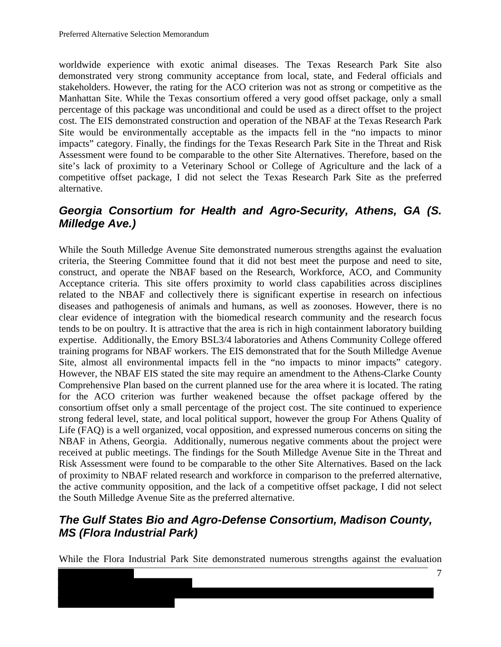worldwide experience with exotic animal diseases. The Texas Research Park Site also demonstrated very strong community acceptance from local, state, and Federal officials and stakeholders. However, the rating for the ACO criterion was not as strong or competitive as the Manhattan Site. While the Texas consortium offered a very good offset package, only a small percentage of this package was unconditional and could be used as a direct offset to the project cost. The EIS demonstrated construction and operation of the NBAF at the Texas Research Park Site would be environmentally acceptable as the impacts fell in the "no impacts to minor impacts" category. Finally, the findings for the Texas Research Park Site in the Threat and Risk Assessment were found to be comparable to the other Site Alternatives. Therefore, based on the site's lack of proximity to a Veterinary School or College of Agriculture and the lack of a competitive offset package, I did not select the Texas Research Park Site as the preferred alternative.

### *Georgia Consortium for Health and Agro-Security, Athens, GA (S. Milledge Ave.)*

While the South Milledge Avenue Site demonstrated numerous strengths against the evaluation criteria, the Steering Committee found that it did not best meet the purpose and need to site, construct, and operate the NBAF based on the Research, Workforce, ACO, and Community Acceptance criteria. This site offers proximity to world class capabilities across disciplines related to the NBAF and collectively there is significant expertise in research on infectious diseases and pathogenesis of animals and humans, as well as zoonoses. However, there is no clear evidence of integration with the biomedical research community and the research focus tends to be on poultry. It is attractive that the area is rich in high containment laboratory building expertise. Additionally, the Emory BSL3/4 laboratories and Athens Community College offered training programs for NBAF workers. The EIS demonstrated that for the South Milledge Avenue Site, almost all environmental impacts fell in the "no impacts to minor impacts" category. However, the NBAF EIS stated the site may require an amendment to the Athens-Clarke County Comprehensive Plan based on the current planned use for the area where it is located. The rating for the ACO criterion was further weakened because the offset package offered by the consortium offset only a small percentage of the project cost. The site continued to experience strong federal level, state, and local political support, however the group For Athens Quality of Life (FAQ) is a well organized, vocal opposition, and expressed numerous concerns on siting the NBAF in Athens, Georgia. Additionally, numerous negative comments about the project were received at public meetings. The findings for the South Milledge Avenue Site in the Threat and Risk Assessment were found to be comparable to the other Site Alternatives. Based on the lack of proximity to NBAF related research and workforce in comparison to the preferred alternative, the active community opposition, and the lack of a competitive offset package, I did not select the South Milledge Avenue Site as the preferred alternative.

### *The Gulf States Bio and Agro-Defense Consortium, Madison County, MS (Flora Industrial Park)*

While the Flora Industrial Park Site demonstrated numerous strengths against the evaluation

7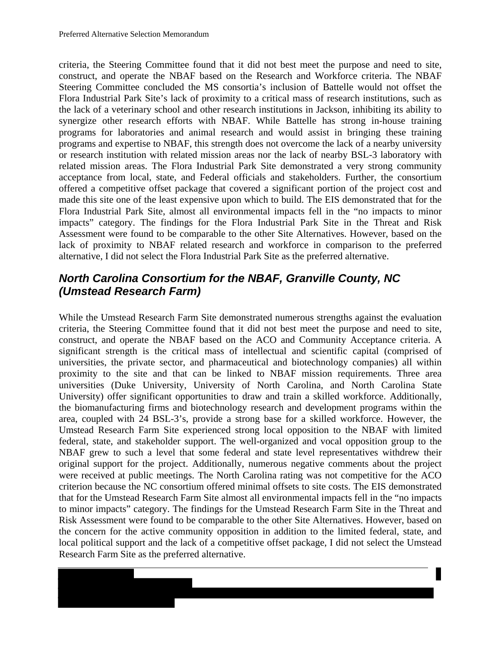criteria, the Steering Committee found that it did not best meet the purpose and need to site, construct, and operate the NBAF based on the Research and Workforce criteria. The NBAF Steering Committee concluded the MS consortia's inclusion of Battelle would not offset the Flora Industrial Park Site's lack of proximity to a critical mass of research institutions, such as the lack of a veterinary school and other research institutions in Jackson, inhibiting its ability to synergize other research efforts with NBAF. While Battelle has strong in-house training programs for laboratories and animal research and would assist in bringing these training programs and expertise to NBAF, this strength does not overcome the lack of a nearby university or research institution with related mission areas nor the lack of nearby BSL-3 laboratory with related mission areas. The Flora Industrial Park Site demonstrated a very strong community acceptance from local, state, and Federal officials and stakeholders. Further, the consortium offered a competitive offset package that covered a significant portion of the project cost and made this site one of the least expensive upon which to build. The EIS demonstrated that for the Flora Industrial Park Site, almost all environmental impacts fell in the "no impacts to minor impacts" category. The findings for the Flora Industrial Park Site in the Threat and Risk Assessment were found to be comparable to the other Site Alternatives. However, based on the lack of proximity to NBAF related research and workforce in comparison to the preferred alternative, I did not select the Flora Industrial Park Site as the preferred alternative.

### *North Carolina Consortium for the NBAF, Granville County, NC (Umstead Research Farm)*

While the Umstead Research Farm Site demonstrated numerous strengths against the evaluation criteria, the Steering Committee found that it did not best meet the purpose and need to site, construct, and operate the NBAF based on the ACO and Community Acceptance criteria. A significant strength is the critical mass of intellectual and scientific capital (comprised of universities, the private sector, and pharmaceutical and biotechnology companies) all within proximity to the site and that can be linked to NBAF mission requirements. Three area universities (Duke University, University of North Carolina, and North Carolina State University) offer significant opportunities to draw and train a skilled workforce. Additionally, the biomanufacturing firms and biotechnology research and development programs within the area, coupled with 24 BSL-3's, provide a strong base for a skilled workforce. However, the Umstead Research Farm Site experienced strong local opposition to the NBAF with limited federal, state, and stakeholder support. The well-organized and vocal opposition group to the NBAF grew to such a level that some federal and state level representatives withdrew their original support for the project. Additionally, numerous negative comments about the project were received at public meetings. The North Carolina rating was not competitive for the ACO criterion because the NC consortium offered minimal offsets to site costs. The EIS demonstrated that for the Umstead Research Farm Site almost all environmental impacts fell in the "no impacts to minor impacts" category. The findings for the Umstead Research Farm Site in the Threat and Risk Assessment were found to be comparable to the other Site Alternatives. However, based on the concern for the active community opposition in addition to the limited federal, state, and local political support and the lack of a competitive offset package, I did not select the Umstead Research Farm Site as the preferred alternative.